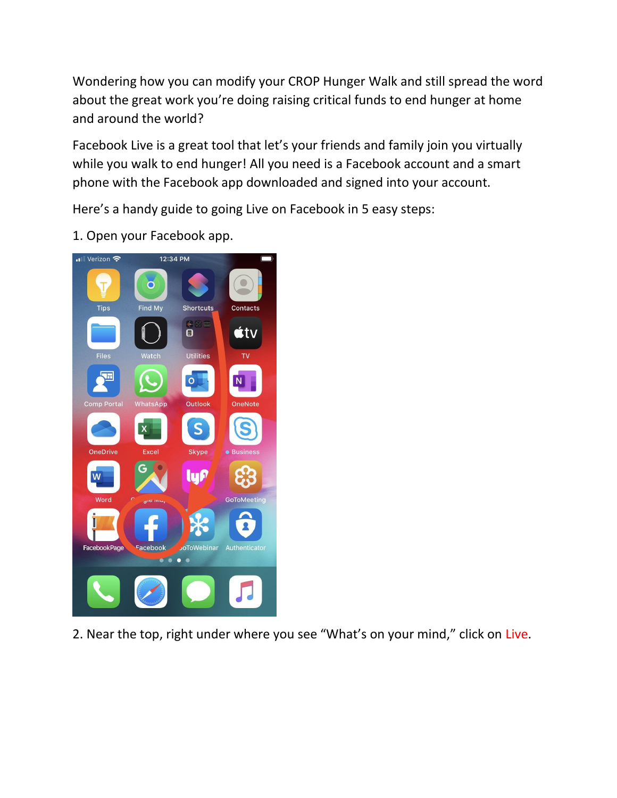Wondering how you can modify your CROP Hunger Walk and still spread the word about the great work you're doing raising critical funds to end hunger at home and around the world?

Facebook Live is a great tool that let's your friends and family join you virtually while you walk to end hunger! All you need is a Facebook account and a smart phone with the Facebook app downloaded and signed into your account.

Here's a handy guide to going Live on Facebook in 5 easy steps:

1. Open your Facebook app.



2. Near the top, right under where you see "What's on your mind," click on Live.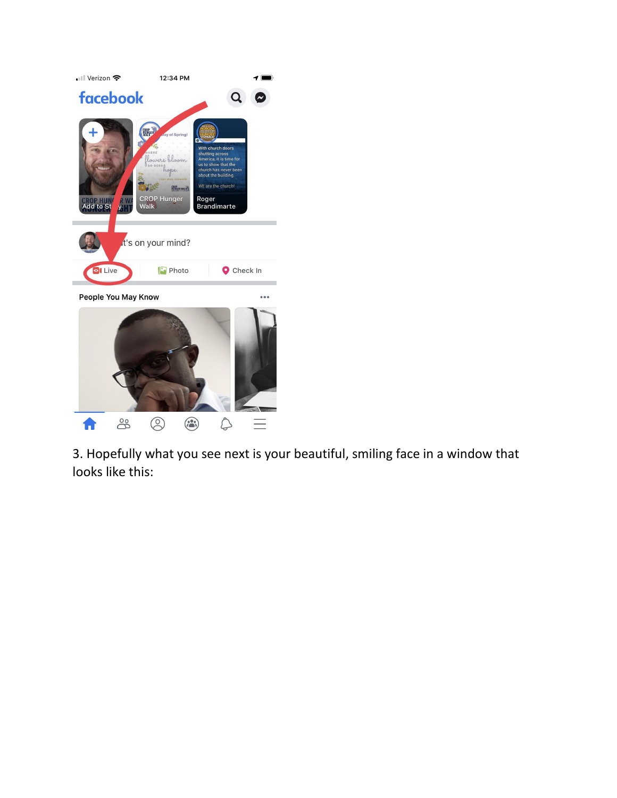

3. Hopefully what you see next is your beautiful, smiling face in a window that looks like this: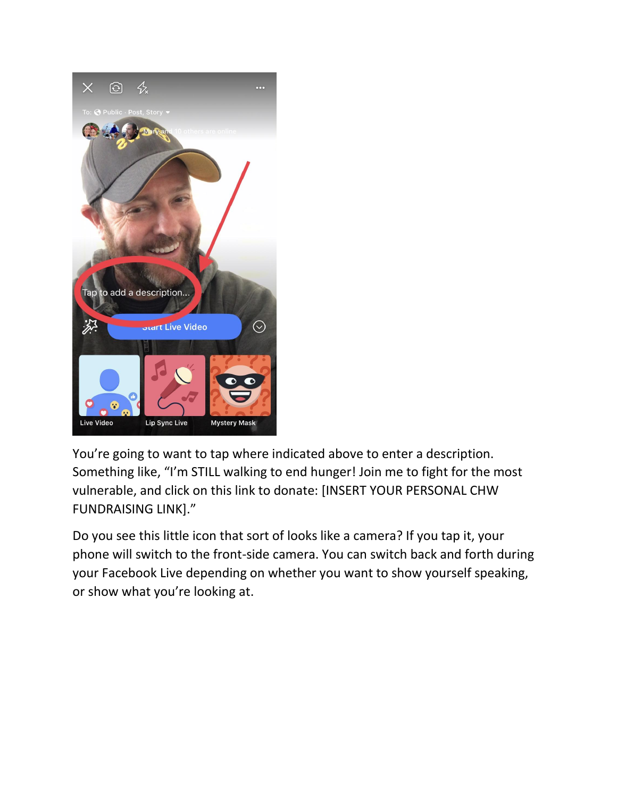

You're going to want to tap where indicated above to enter a description. Something like, "I'm STILL walking to end hunger! Join me to fight for the most vulnerable, and click on this link to donate: [INSERT YOUR PERSONAL CHW FUNDRAISING LINK]."

Do you see this little icon that sort of looks like a camera? If you tap it, your phone will switch to the front-side camera. You can switch back and forth during your Facebook Live depending on whether you want to show yourself speaking, or show what you're looking at.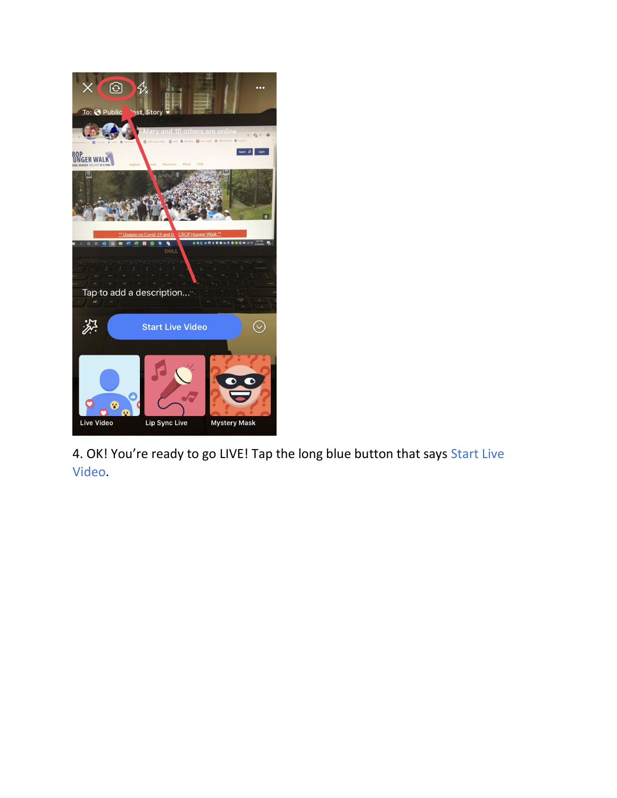

4. OK! You're ready to go LIVE! Tap the long blue button that says Start Live Video.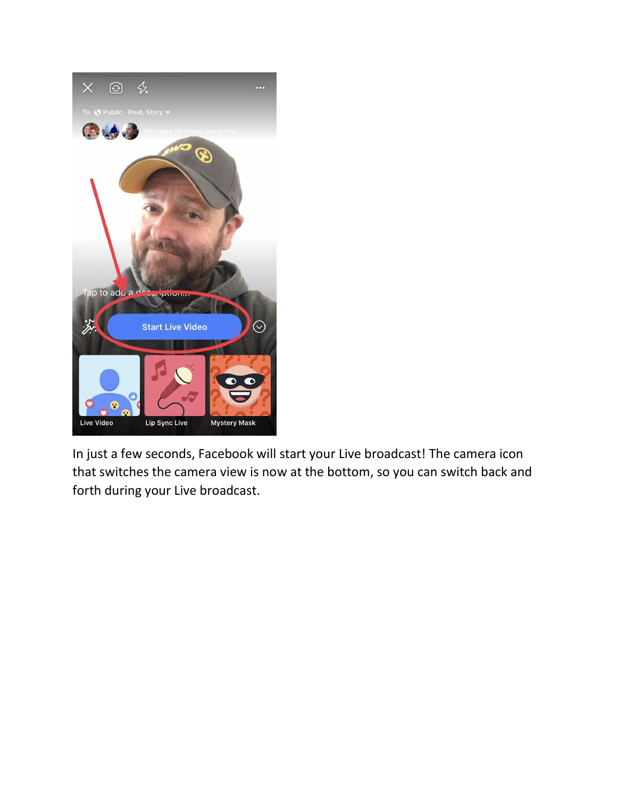

In just a few seconds, Facebook will start your Live broadcast! The camera icon that switches the camera view is now at the bottom, so you can switch back and forth during your Live broadcast.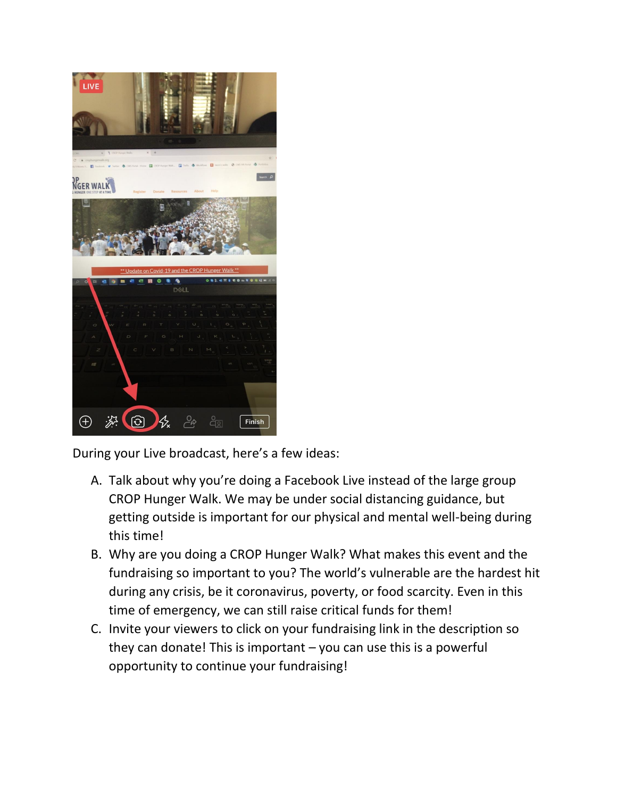

During your Live broadcast, here's a few ideas:

- A. Talk about why you're doing a Facebook Live instead of the large group CROP Hunger Walk. We may be under social distancing guidance, but getting outside is important for our physical and mental well-being during this time!
- B. Why are you doing a CROP Hunger Walk? What makes this event and the fundraising so important to you? The world's vulnerable are the hardest hit during any crisis, be it coronavirus, poverty, or food scarcity. Even in this time of emergency, we can still raise critical funds for them!
- C. Invite your viewers to click on your fundraising link in the description so they can donate! This is important  $-$  you can use this is a powerful opportunity to continue your fundraising!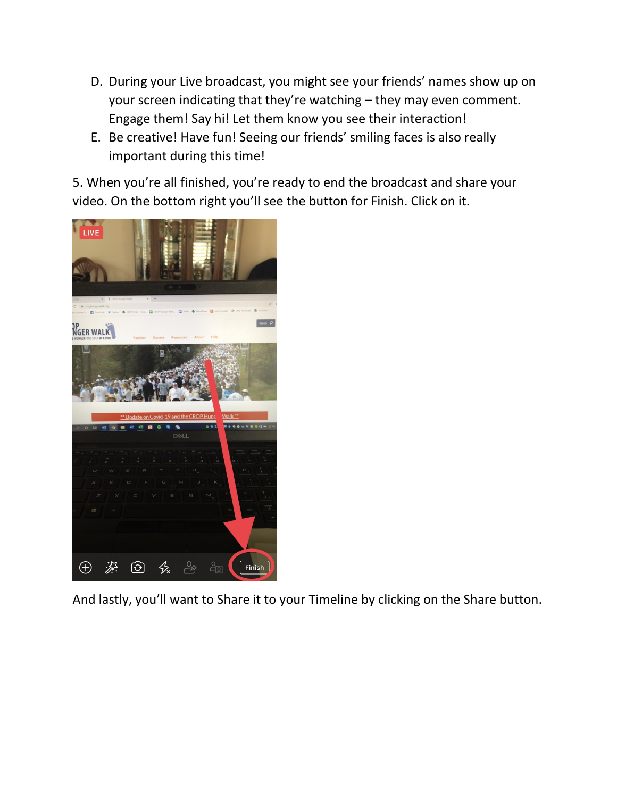- D. During your Live broadcast, you might see your friends' names show up on your screen indicating that they're watching – they may even comment. Engage them! Say hi! Let them know you see their interaction!
- E. Be creative! Have fun! Seeing our friends' smiling faces is also really important during this time!

5. When you're all finished, you're ready to end the broadcast and share your video. On the bottom right you'll see the button for Finish. Click on it.



And lastly, you'll want to Share it to your Timeline by clicking on the Share button.